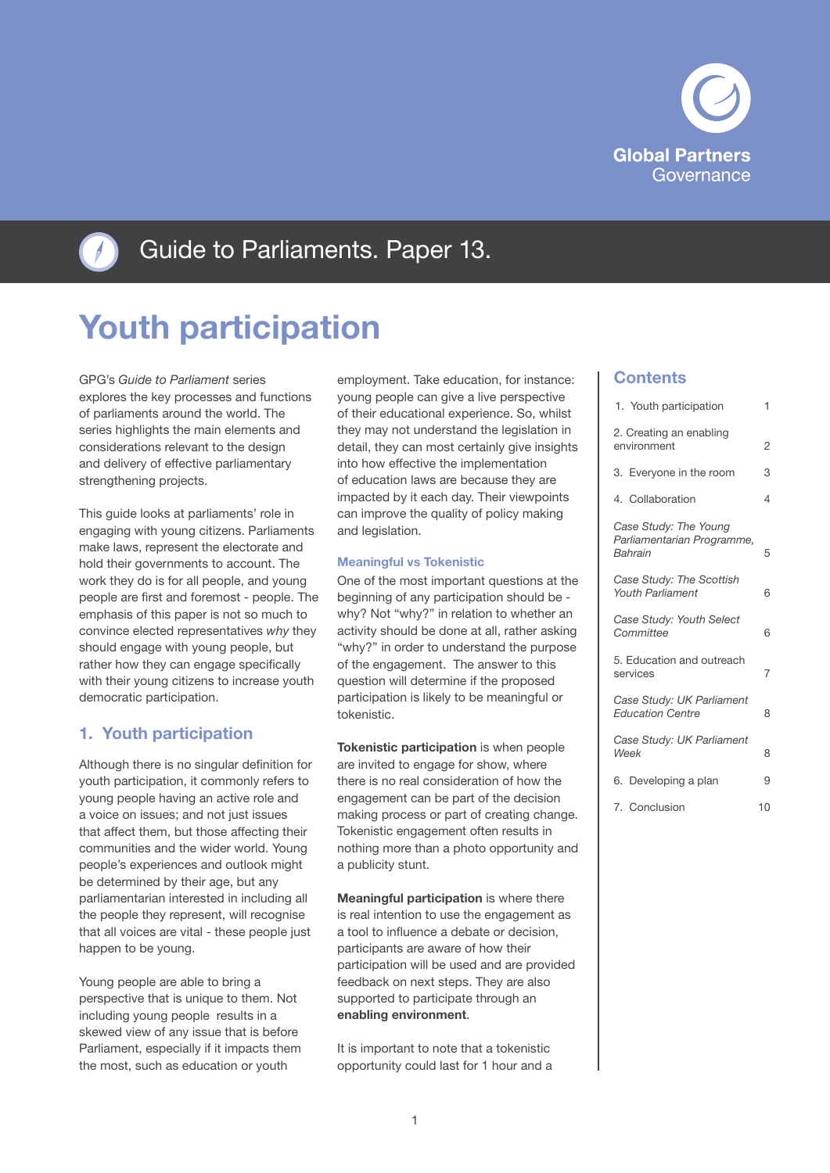



Guide to Parliaments. Paper 13.

# Youth participation

GPG's *Guide to Parliament* series explores the key processes and functions of parliaments around the world. The series highlights the main elements and considerations relevant to the design and delivery of effective parliamentary strengthening projects.

This guide looks at parliaments' role in engaging with young citizens. Parliaments make laws, represent the electorate and hold their governments to account. The work they do is for all people, and young people are first and foremost - people. The emphasis of this paper is not so much to convince elected representatives *why* they should engage with young people, but rather how they can engage specifically with their young citizens to increase youth democratic participation.

# 1. Youth participation

Although there is no singular definition for youth participation, it commonly refers to young people having an active role and a voice on issues; and not just issues that affect them, but those affecting their communities and the wider world. Young people's experiences and outlook might be determined by their age, but any parliamentarian interested in including all the people they represent, will recognise that all voices are vital - these people just happen to be young.

Young people are able to bring a perspective that is unique to them. Not including young people results in a skewed view of any issue that is before Parliament, especially if it impacts them the most, such as education or youth

employment. Take education, for instance: young people can give a live perspective of their educational experience. So, whilst they may not understand the legislation in detail, they can most certainly give insights into how effective the implementation of education laws are because they are impacted by it each day. Their viewpoints can improve the quality of policy making and legislation.

### Meaningful vs Tokenistic

One of the most important questions at the beginning of any participation should be why? Not "why?" in relation to whether an activity should be done at all, rather asking "why?" in order to understand the purpose of the engagement. The answer to this question will determine if the proposed participation is likely to be meaningful or tokenistic.

Tokenistic participation is when people are invited to engage for show, where there is no real consideration of how the engagement can be part of the decision making process or part of creating change. Tokenistic engagement often results in nothing more than a photo opportunity and a publicity stunt.

Meaningful participation is where there is real intention to use the engagement as a tool to influence a debate or decision, participants are aware of how their participation will be used and are provided feedback on next steps. They are also supported to participate through an enabling environment.

It is important to note that a tokenistic opportunity could last for 1 hour and a

### **Contents**

| 1. Youth participation                                         | 1              |
|----------------------------------------------------------------|----------------|
| 2. Creating an enabling<br>environment                         | $\overline{2}$ |
| 3. Everyone in the room                                        | 3              |
| 4. Collaboration                                               | 4              |
| Case Study: The Young<br>Parliamentarian Programme,<br>Bahrain | 5              |
| Case Study: The Scottish<br><b>Youth Parliament</b>            | 6              |
| Case Study: Youth Select<br>Committee                          | 6              |
| 5. Education and outreach<br>services                          | 7              |
| Case Study: UK Parliament<br><b>Education Centre</b>           | 8              |
| Case Study: UK Parliament<br>Week                              | 8              |
| 6. Developing a plan                                           | 9              |
| 7. Conclusion                                                  | 10             |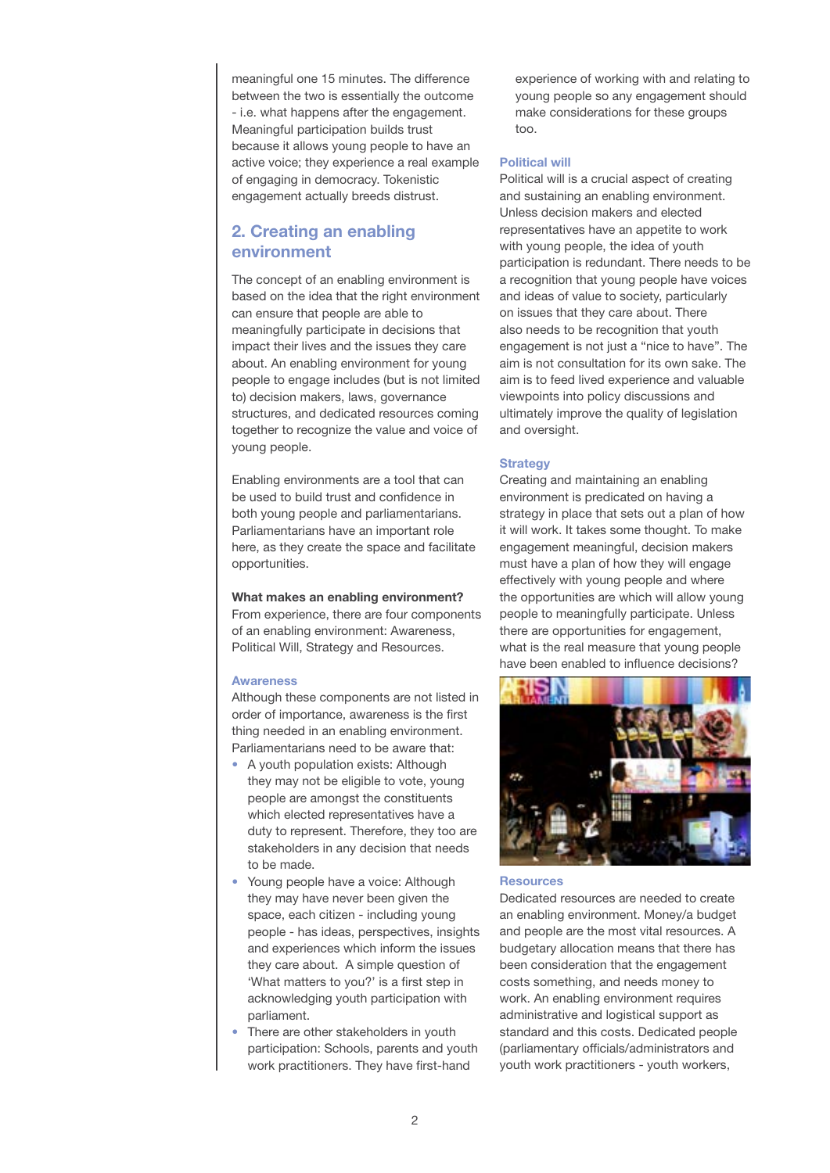<span id="page-1-0"></span>meaningful one 15 minutes. The difference between the two is essentially the outcome - i.e. what happens after the engagement. Meaningful participation builds trust because it allows young people to have an active voice; they experience a real example of engaging in democracy. Tokenistic engagement actually breeds distrust.

# 2. Creating an enabling environment

The concept of an enabling environment is based on the idea that the right environment can ensure that people are able to meaningfully participate in decisions that impact their lives and the issues they care about. An enabling environment for young people to engage includes (but is not limited to) decision makers, laws, governance structures, and dedicated resources coming together to recognize the value and voice of young people.

Enabling environments are a tool that can be used to build trust and confidence in both young people and parliamentarians. Parliamentarians have an important role here, as they create the space and facilitate opportunities.

What makes an enabling environment? From experience, there are four components of an enabling environment: Awareness, Political Will, Strategy and Resources.

#### Awareness

Although these components are not listed in order of importance, awareness is the first thing needed in an enabling environment. Parliamentarians need to be aware that:

- A youth population exists: Although they may not be eligible to vote, young people are amongst the constituents which elected representatives have a duty to represent. Therefore, they too are stakeholders in any decision that needs to be made.
- Young people have a voice: Although they may have never been given the space, each citizen - including young people - has ideas, perspectives, insights and experiences which inform the issues they care about. A simple question of 'What matters to you?' is a first step in acknowledging youth participation with parliament.
- There are other stakeholders in youth participation: Schools, parents and youth work practitioners. They have first-hand

experience of working with and relating to young people so any engagement should make considerations for these groups too.

### Political will

Political will is a crucial aspect of creating and sustaining an enabling environment. Unless decision makers and elected representatives have an appetite to work with young people, the idea of youth participation is redundant. There needs to be a recognition that young people have voices and ideas of value to society, particularly on issues that they care about. There also needs to be recognition that youth engagement is not just a "nice to have". The aim is not consultation for its own sake. The aim is to feed lived experience and valuable viewpoints into policy discussions and ultimately improve the quality of legislation and oversight.

### **Strategy**

Creating and maintaining an enabling environment is predicated on having a strategy in place that sets out a plan of how it will work. It takes some thought. To make engagement meaningful, decision makers must have a plan of how they will engage effectively with young people and where the opportunities are which will allow young people to meaningfully participate. Unless there are opportunities for engagement, what is the real measure that young people have been enabled to influence decisions?



**Resources** 

Dedicated resources are needed to create an enabling environment. Money/a budget and people are the most vital resources. A budgetary allocation means that there has been consideration that the engagement costs something, and needs money to work. An enabling environment requires administrative and logistical support as standard and this costs. Dedicated people (parliamentary officials/administrators and youth work practitioners - youth workers,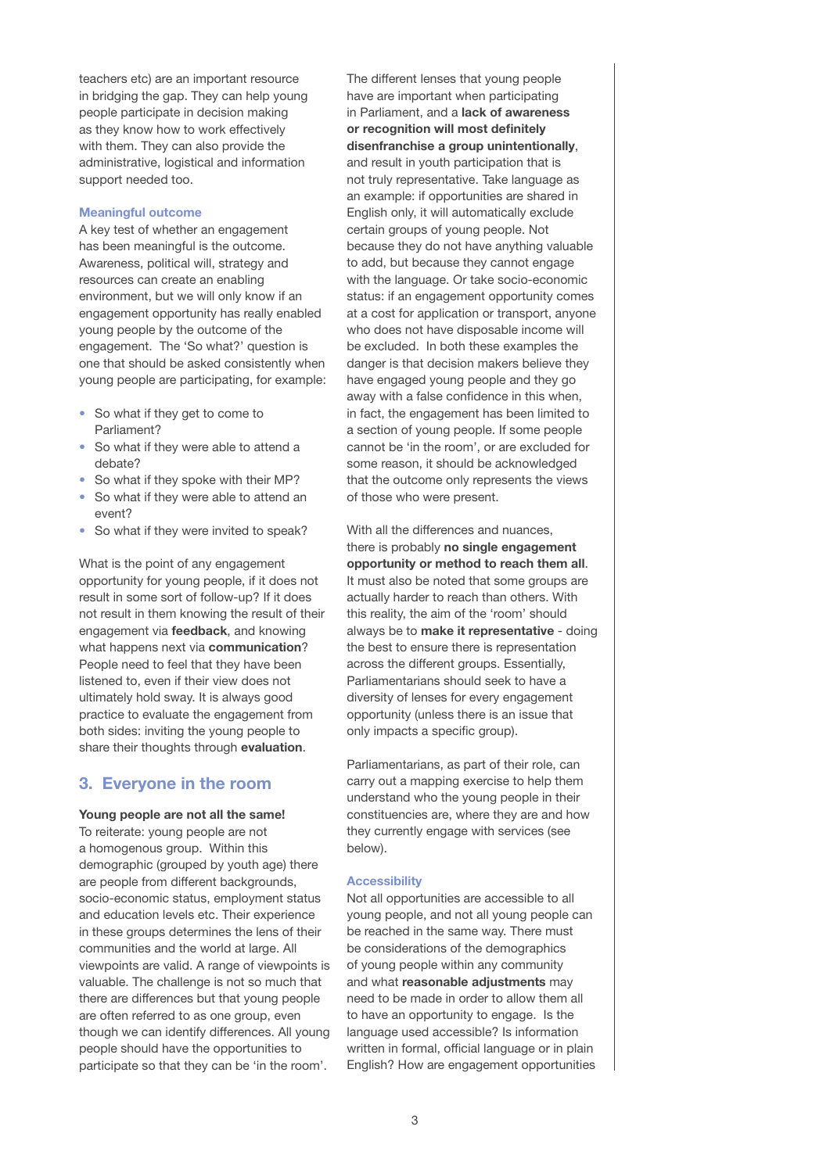<span id="page-2-0"></span>teachers etc) are an important resource in bridging the gap. They can help young people participate in decision making as they know how to work effectively with them. They can also provide the administrative, logistical and information support needed too.

#### Meaningful outcome

A key test of whether an engagement has been meaningful is the outcome. Awareness, political will, strategy and resources can create an enabling environment, but we will only know if an engagement opportunity has really enabled young people by the outcome of the engagement. The 'So what?' question is one that should be asked consistently when young people are participating, for example:

- So what if they get to come to Parliament?
- So what if they were able to attend a debate?
- So what if they spoke with their MP?
- So what if they were able to attend an event?
- So what if they were invited to speak?

What is the point of any engagement opportunity for young people, if it does not result in some sort of follow-up? If it does not result in them knowing the result of their engagement via feedback, and knowing what happens next via communication? People need to feel that they have been listened to, even if their view does not ultimately hold sway. It is always good practice to evaluate the engagement from both sides: inviting the young people to share their thoughts through evaluation.

### 3. Everyone in the room

#### Young people are not all the same!

To reiterate: young people are not a homogenous group. Within this demographic (grouped by youth age) there are people from different backgrounds, socio-economic status, employment status and education levels etc. Their experience in these groups determines the lens of their communities and the world at large. All viewpoints are valid. A range of viewpoints is valuable. The challenge is not so much that there are differences but that young people are often referred to as one group, even though we can identify differences. All young people should have the opportunities to participate so that they can be 'in the room'.

The different lenses that young people have are important when participating in Parliament, and a lack of awareness or recognition will most definitely disenfranchise a group unintentionally, and result in youth participation that is not truly representative. Take language as an example: if opportunities are shared in English only, it will automatically exclude certain groups of young people. Not because they do not have anything valuable to add, but because they cannot engage with the language. Or take socio-economic status: if an engagement opportunity comes at a cost for application or transport, anyone who does not have disposable income will be excluded. In both these examples the danger is that decision makers believe they have engaged young people and they go away with a false confidence in this when, in fact, the engagement has been limited to a section of young people. If some people cannot be 'in the room', or are excluded for some reason, it should be acknowledged that the outcome only represents the views of those who were present.

With all the differences and nuances, there is probably no single engagement opportunity or method to reach them all. It must also be noted that some groups are actually harder to reach than others. With this reality, the aim of the 'room' should always be to make it representative - doing the best to ensure there is representation across the different groups. Essentially, Parliamentarians should seek to have a diversity of lenses for every engagement opportunity (unless there is an issue that only impacts a specific group).

Parliamentarians, as part of their role, can carry out a mapping exercise to help them understand who the young people in their constituencies are, where they are and how they currently engage with services (see below).

#### **Accessibility**

Not all opportunities are accessible to all young people, and not all young people can be reached in the same way. There must be considerations of the demographics of young people within any community and what reasonable adjustments may need to be made in order to allow them all to have an opportunity to engage. Is the language used accessible? Is information written in formal, official language or in plain English? How are engagement opportunities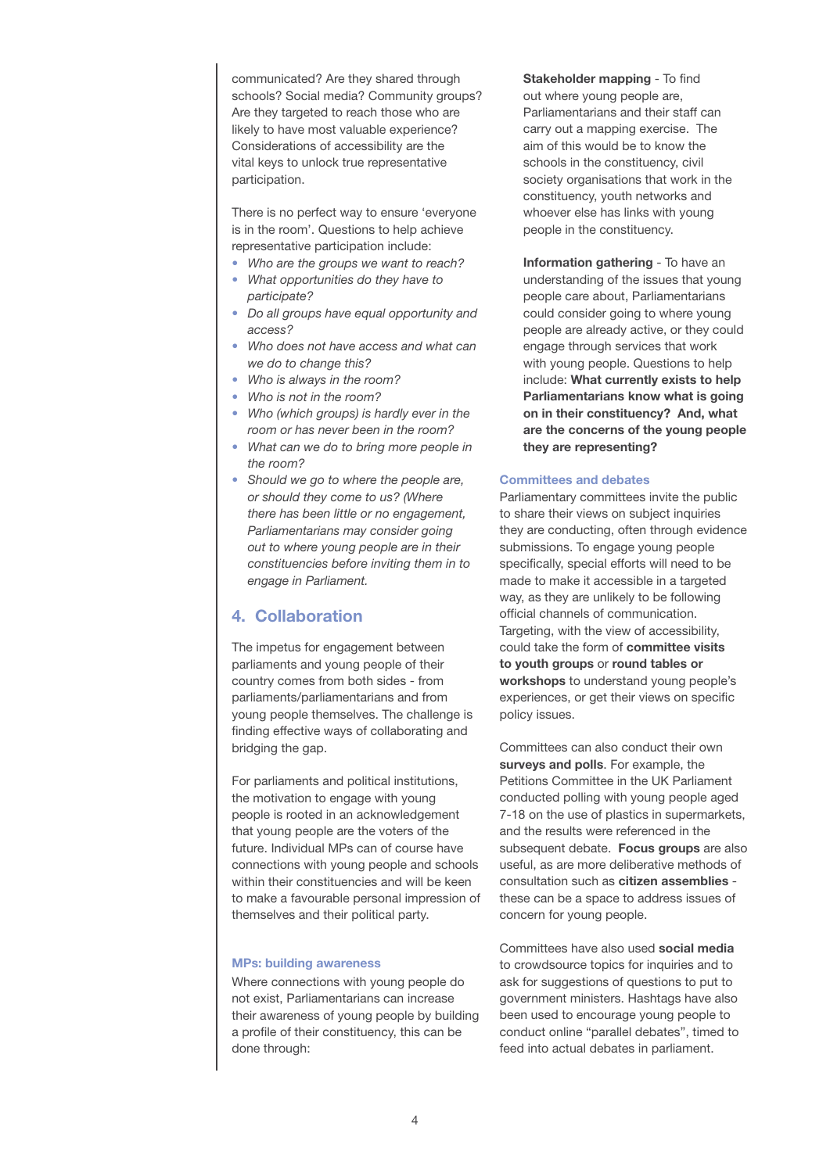<span id="page-3-0"></span>communicated? Are they shared through schools? Social media? Community groups? Are they targeted to reach those who are likely to have most valuable experience? Considerations of accessibility are the vital keys to unlock true representative participation.

There is no perfect way to ensure 'everyone is in the room'. Questions to help achieve representative participation include:

- *Who are the groups we want to reach?*
- *What opportunities do they have to participate?*
- *Do all groups have equal opportunity and access?*
- *Who does not have access and what can we do to change this?*
- *Who is always in the room?*
- *Who is not in the room?*
- *Who (which groups) is hardly ever in the room or has never been in the room?*
- *What can we do to bring more people in the room?*
- *Should we go to where the people are, or should they come to us? (Where there has been little or no engagement, Parliamentarians may consider going out to where young people are in their constituencies before inviting them in to engage in Parliament.*

# 4. Collaboration

The impetus for engagement between parliaments and young people of their country comes from both sides - from parliaments/parliamentarians and from young people themselves. The challenge is finding effective ways of collaborating and bridging the gap.

For parliaments and political institutions, the motivation to engage with young people is rooted in an acknowledgement that young people are the voters of the future. Individual MPs can of course have connections with young people and schools within their constituencies and will be keen to make a favourable personal impression of themselves and their political party.

### MPs: building awareness

Where connections with young people do not exist, Parliamentarians can increase their awareness of young people by building a profile of their constituency, this can be done through:

Stakeholder mapping - To find out where young people are, Parliamentarians and their staff can carry out a mapping exercise. The aim of this would be to know the schools in the constituency, civil society organisations that work in the constituency, youth networks and whoever else has links with young people in the constituency.

Information gathering - To have an understanding of the issues that young people care about, Parliamentarians could consider going to where young people are already active, or they could engage through services that work with young people. Questions to help include: What currently exists to help Parliamentarians know what is going on in their constituency? And, what are the concerns of the young people they are representing?

#### Committees and debates

Parliamentary committees invite the public to share their views on subject inquiries they are conducting, often through evidence submissions. To engage young people specifically, special efforts will need to be made to make it accessible in a targeted way, as they are unlikely to be following official channels of communication. Targeting, with the view of accessibility, could take the form of committee visits to youth groups or round tables or workshops to understand young people's experiences, or get their views on specific policy issues.

Committees can also conduct their own surveys and polls. For example, the Petitions Committee in the UK Parliament conducted polling with young people aged 7-18 on the use of plastics in supermarkets, and the results were referenced in the subsequent debate. Focus groups are also useful, as are more deliberative methods of consultation such as citizen assemblies these can be a space to address issues of concern for young people.

Committees have also used social media to crowdsource topics for inquiries and to ask for suggestions of questions to put to government ministers. Hashtags have also been used to encourage young people to conduct online "parallel debates", timed to feed into actual debates in parliament.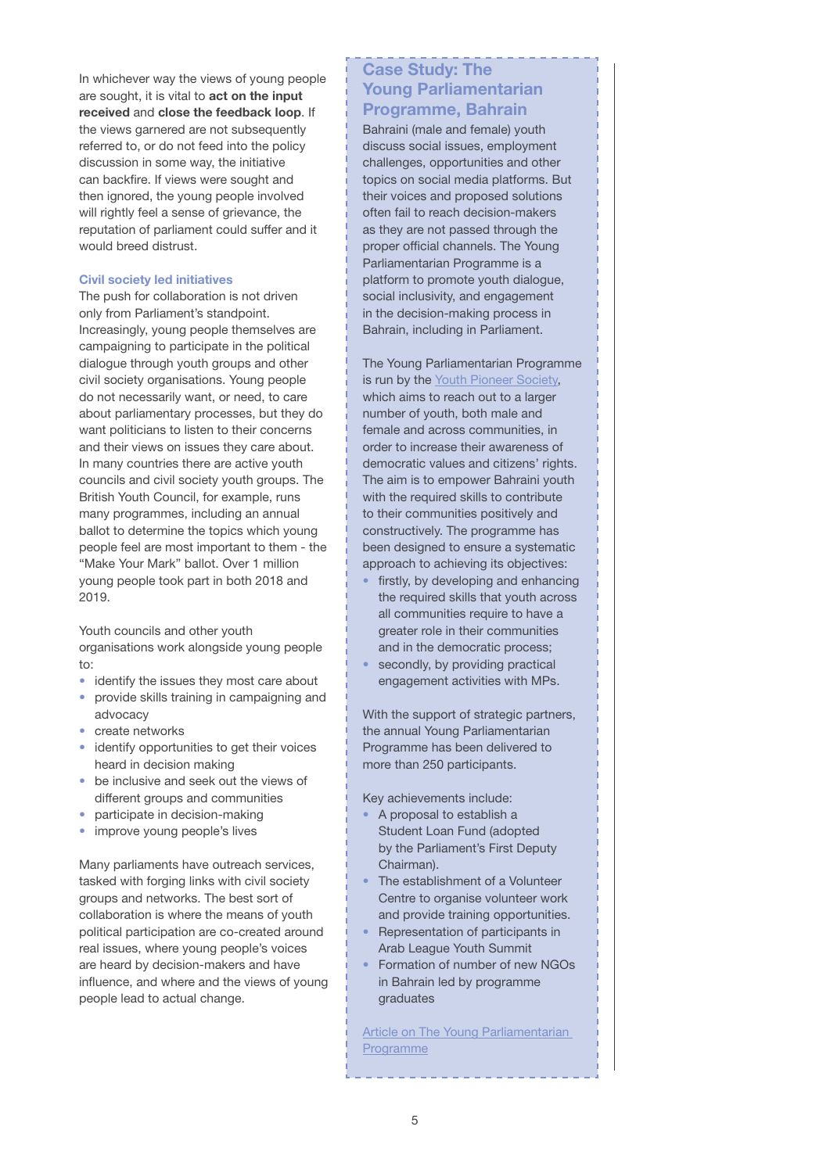<span id="page-4-0"></span>In whichever way the views of young people are sought, it is vital to act on the input received and close the feedback loop. If the views garnered are not subsequently referred to, or do not feed into the policy discussion in some way, the initiative can backfire. If views were sought and then ignored, the young people involved will rightly feel a sense of grievance, the reputation of parliament could suffer and it would breed distrust.

#### Civil society led initiatives

The push for collaboration is not driven only from Parliament's standpoint. Increasingly, young people themselves are campaigning to participate in the political dialogue through youth groups and other civil society organisations. Young people do not necessarily want, or need, to care about parliamentary processes, but they do want politicians to listen to their concerns and their views on issues they care about. In many countries there are active youth councils and civil society youth groups. The British Youth Council, for example, runs many programmes, including an annual ballot to determine the topics which young people feel are most important to them - the "Make Your Mark" ballot. Over 1 million young people took part in both 2018 and 2019.

Youth councils and other youth organisations work alongside young people to:

- identify the issues they most care about • provide skills training in campaigning and advocacy
- create networks
- identify opportunities to get their voices heard in decision making
- be inclusive and seek out the views of different groups and communities
- participate in decision-making
- improve young people's lives

Many parliaments have outreach services, tasked with forging links with civil society groups and networks. The best sort of collaboration is where the means of youth political participation are co-created around real issues, where young people's voices are heard by decision-makers and have influence, and where and the views of young people lead to actual change.

# Case Study: The Young Parliamentarian Programme, Bahrain

Bahraini (male and female) youth discuss social issues, employment challenges, opportunities and other topics on social media platforms. But their voices and proposed solutions often fail to reach decision-makers as they are not passed through the proper official channels. The Young Parliamentarian Programme is a platform to promote youth dialogue, social inclusivity, and engagement in the decision-making process in Bahrain, including in Parliament.

The Young Parliamentarian Programme is run by the Youth Pioneer Society, which aims to reach out to a larger number of youth, both male and female and across communities, in order to increase their awareness of democratic values and citizens' rights. The aim is to empower Bahraini youth with the required skills to contribute to their communities positively and constructively. The programme has been designed to ensure a systematic approach to achieving its objectives:

- firstly, by developing and enhancing the required skills that youth across all communities require to have a greater role in their communities and in the democratic process;
- secondly, by providing practical engagement activities with MPs.

With the support of strategic partners, the annual Young Parliamentarian Programme has been delivered to more than 250 participants.

Key achievements include:

- A proposal to establish a Student Loan Fund (adopted by the Parliament's First Deputy Chairman).
- The establishment of a Volunteer Centre to organise volunteer work and provide training opportunities.
- Representation of participants in Arab League Youth Summit
- Formation of number of new NGOs in Bahrain led by programme graduates

[Article on The Young Parliamentarian](https://agsiw.org/bahrains-youth-pioneer-society-guiding-and-empowering-youth/)  **Programme**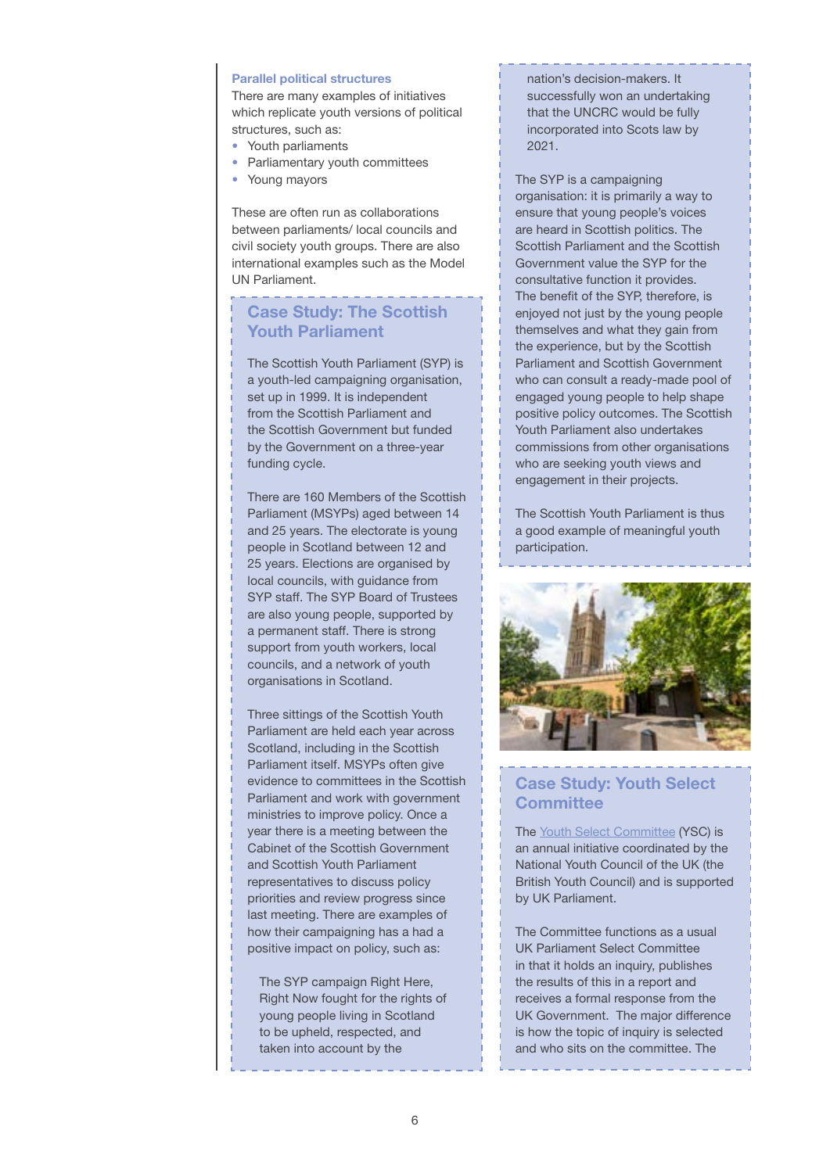### <span id="page-5-0"></span>Parallel political structures

There are many examples of initiatives which replicate youth versions of political structures, such as:

- Youth parliaments
- Parliamentary youth committees
- Young mayors

These are often run as collaborations between parliaments/ local councils and civil society youth groups. There are also international examples such as the Model UN Parliament.

# Case Study: The Scottish Youth Parliament

The [Scottish Youth Parliament \(](https://syp.org.uk/)SYP) is a youth-led campaigning organisation, set up in 1999. It is independent from the Scottish Parliament and the Scottish Government but funded by the Government on a three-year funding cycle.

There are 160 Members of the Scottish Parliament (MSYPs) aged between 14 and 25 years. The electorate is young people in Scotland between 12 and 25 years. Elections are organised by local councils, with guidance from SYP staff. The SYP Board of Trustees are also young people, supported by a permanent staff. There is strong support from youth workers, local councils, and a network of youth organisations in Scotland.

Three sittings of the Scottish Youth Parliament are held each year across Scotland, including in the Scottish Parliament itself. MSYPs often give evidence to committees in the Scottish Parliament and work with government ministries to improve policy. Once a year there is a meeting between the Cabinet of the Scottish Government and Scottish Youth Parliament representatives to discuss policy priorities and review progress since last meeting. There are examples of how their campaigning has a had a positive impact on policy, such as:

The SYP campaign Right Here, Right Now fought for the rights of young people living in Scotland to be upheld, respected, and taken into account by the

nation's decision-makers. It successfully won an undertaking that the UNCRC would be fully incorporated into Scots law by 2021.

The SYP is a campaigning organisation: it is primarily a way to ensure that young people's voices are heard in Scottish politics. The Scottish Parliament and the Scottish Government value the SYP for the consultative function it provides. The benefit of the SYP, therefore, is enjoyed not just by the young people themselves and what they gain from the experience, but by the Scottish Parliament and Scottish Government who can consult a ready-made pool of engaged young people to help shape positive policy outcomes. The Scottish Youth Parliament also undertakes commissions from other organisations who are seeking youth views and engagement in their projects.

The [Scottish Youth Parliamen](https://syp.org.uk/)t is thus a good example of meaningful youth participation.



# Case Study: Youth Select **Committee**

The [Youth Select Committee](https://www.byc.org.uk/uk/youth-select-committee) (YSC) is an annual initiative coordinated by the National Youth Council of the UK (the British Youth Council) and is supported by UK Parliament.

The Committee functions as a usual UK Parliament Select Committee in that it holds an inquiry, publishes the results of this in a report and receives a formal response from the UK Government. The major difference is how the topic of inquiry is selected and who sits on the committee. The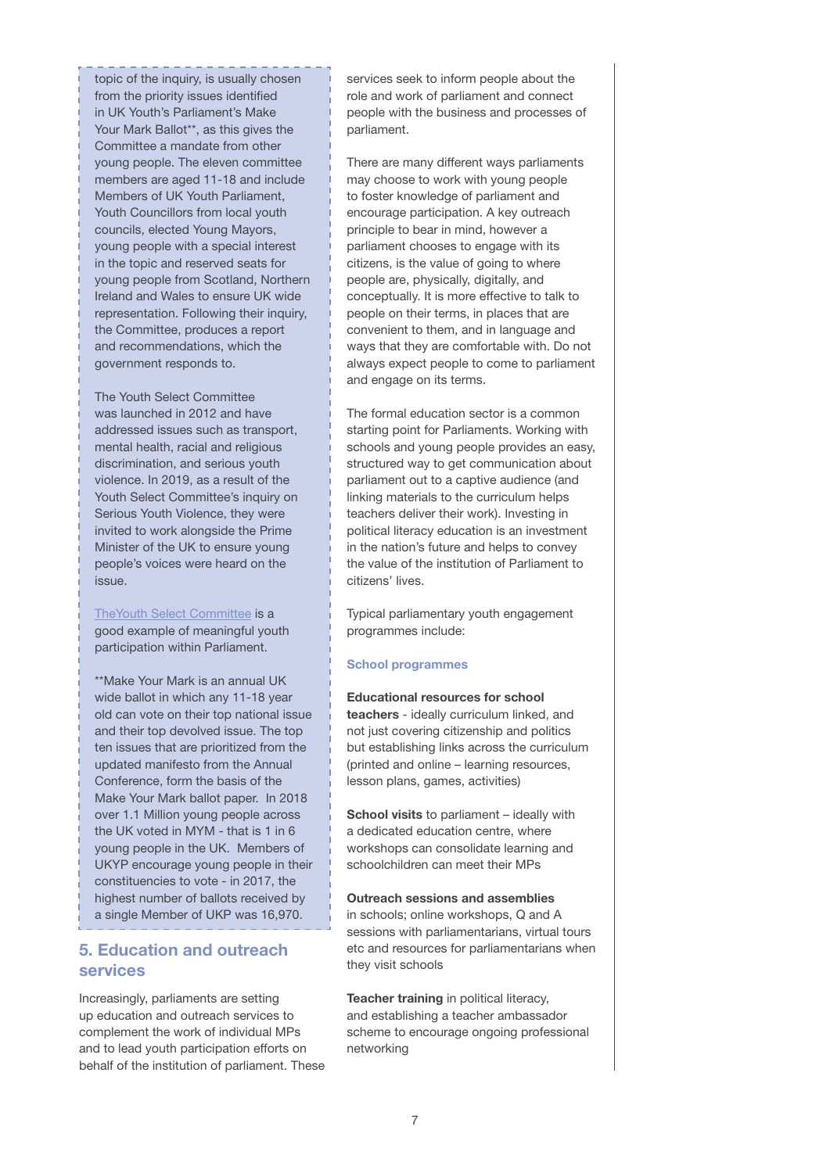<span id="page-6-0"></span>topic of the inquiry, is usually chosen from the priority issues identified in UK Youth's Parliament's Make Your Mark Ballot\*\*, as this gives the Committee a mandate from other young people. The eleven committee members are aged 11-18 and include Members of UK Youth Parliament, Youth Councillors from local youth councils, elected Young Mayors, young people with a special interest in the topic and reserved seats for young people from Scotland, Northern Ireland and Wales to ensure UK wide representation. Following their inquiry, the Committee, produces a report and recommendations, which the government responds to.

The Youth Select Committee was launched in 2012 and have addressed issues such as transport, mental health, racial and religious discrimination, and serious youth violence. In 2019, as a result of the Youth Select Committee's inquiry on Serious Youth Violence, they were invited to work alongside the Prime Minister of the UK to ensure young people's voices were heard on the issue.

[TheYouth Select Committee i](https://www.byc.org.uk/uk/youth-select-committee)s a good example of meaningful youth participation within Parliament.

\*\*Make Your Mark is an annual UK wide ballot in which any 11-18 year old can vote on their top national issue and their top devolved issue. The top ten issues that are prioritized from the updated manifesto from the Annual Conference, form the basis of the Make Your Mark ballot paper. In 2018 over 1.1 Million young people across the UK voted in MYM - that is 1 in 6 young people in the UK. Members of UKYP encourage young people in their constituencies to vote - in 2017, the highest number of ballots received by a single Member of UKP was 16,970.

## 5. Education and outreach services

Increasingly, parliaments are setting up education and outreach services to complement the work of individual MPs and to lead youth participation efforts on behalf of the institution of parliament. These services seek to inform people about the role and work of parliament and connect people with the business and processes of parliament.

There are many different ways parliaments may choose to work with young people to foster knowledge of parliament and encourage participation. A key outreach principle to bear in mind, however a parliament chooses to engage with its citizens, is the value of going to where people are, physically, digitally, and conceptually. It is more effective to talk to people on their terms, in places that are convenient to them, and in language and ways that they are comfortable with. Do not always expect people to come to parliament and engage on its terms.

The formal education sector is a common starting point for Parliaments. Working with schools and young people provides an easy, structured way to get communication about parliament out to a captive audience (and linking materials to the curriculum helps teachers deliver their work). Investing in political literacy education is an investment in the nation's future and helps to convey the value of the institution of Parliament to citizens' lives.

Typical parliamentary youth engagement programmes include:

### School programmes

Educational resources for school teachers - ideally curriculum linked, and not just covering citizenship and politics but establishing links across the curriculum (printed and online – learning resources,

School visits to parliament - ideally with a dedicated education centre, where workshops can consolidate learning and schoolchildren can meet their MPs

lesson plans, games, activities)

### Outreach sessions and assemblies

in schools; online workshops, Q and A sessions with parliamentarians, virtual tours etc and resources for parliamentarians when they visit schools

Teacher training in political literacy, and establishing a teacher ambassador scheme to encourage ongoing professional networking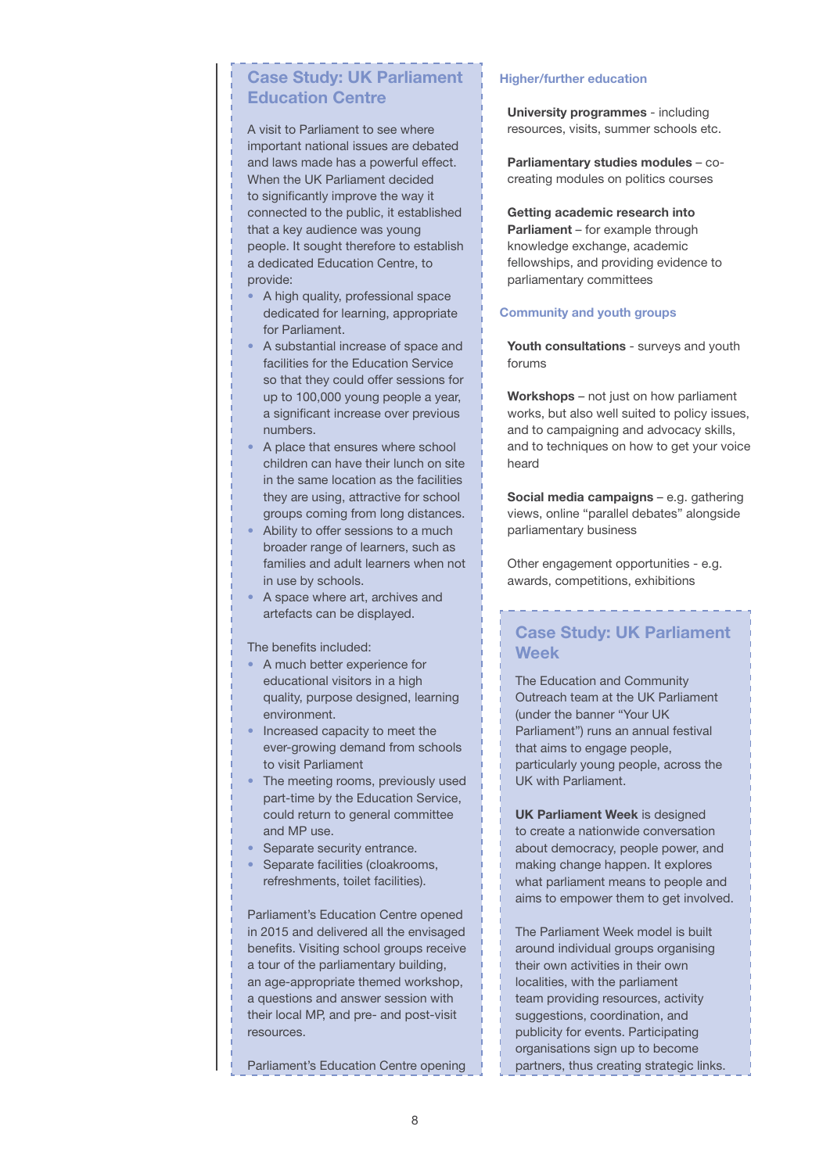# <span id="page-7-0"></span>Case Study: UK Parliament Education Centre

A visit to Parliament to see where important national issues are debated and laws made has a powerful effect. When the UK Parliament decided to significantly improve the way it connected to the public, it established that a key audience was young people. It sought therefore to establish a dedicated Education Centre, to provide:

- A high quality, professional space dedicated for learning, appropriate for Parliament.
- A substantial increase of space and facilities for the Education Service so that they could offer sessions for up to 100,000 young people a year, a significant increase over previous numbers.
- A place that ensures where school children can have their lunch on site in the same location as the facilities they are using, attractive for school groups coming from long distances.
- Ability to offer sessions to a much broader range of learners, such as families and adult learners when not in use by schools.
- A space where art, archives and artefacts can be displayed.

The benefits included:

- A much better experience for educational visitors in a high quality, purpose designed, learning environment.
- Increased capacity to meet the ever-growing demand from schools to visit Parliament
- The meeting rooms, previously used part-time by the Education Service, could return to general committee and MP use.
- Separate security entrance.
- Separate facilities (cloakrooms, refreshments, toilet facilities).

Parliament's Education Centre opened in 2015 and delivered all the envisaged benefits. Visiting school groups receive a tour of the parliamentary building, an age-appropriate themed workshop, a questions and answer session with their local MP, and pre- and post-visit resources.

[Parliament's Education Centre opening](https://www.byc.org.uk/uk/youth-select-committee)

### Higher/further education

University programmes - including resources, visits, summer schools etc.

Parliamentary studies modules – cocreating modules on politics courses

Getting academic research into Parliament – for example through knowledge exchange, academic fellowships, and providing evidence to parliamentary committees

### Community and youth groups

Youth consultations - surveys and youth forums

Workshops – not just on how parliament works, but also well suited to policy issues, and to campaigning and advocacy skills, and to techniques on how to get your voice heard

Social media campaigns – e.g. gathering views, online "parallel debates" alongside parliamentary business

Other engagement opportunities - e.g. awards, competitions, exhibitions

# Case Study: UK Parliament Week

The Education and Community Outreach team at the UK Parliament (under the banner "Your UK Parliament") runs an annual festival that aims to engage people, particularly young people, across the UK with Parliament.

UK Parliament Week is designed to create a nationwide conversation about democracy, people power, and making change happen. It explores what parliament means to people and aims to empower them to get involved.

The Parliament Week model is built around individual groups organising their own activities in their own localities, with the parliament team providing resources, activity suggestions, coordination, and publicity for events. Participating organisations sign up to become partners, thus creating strategic links.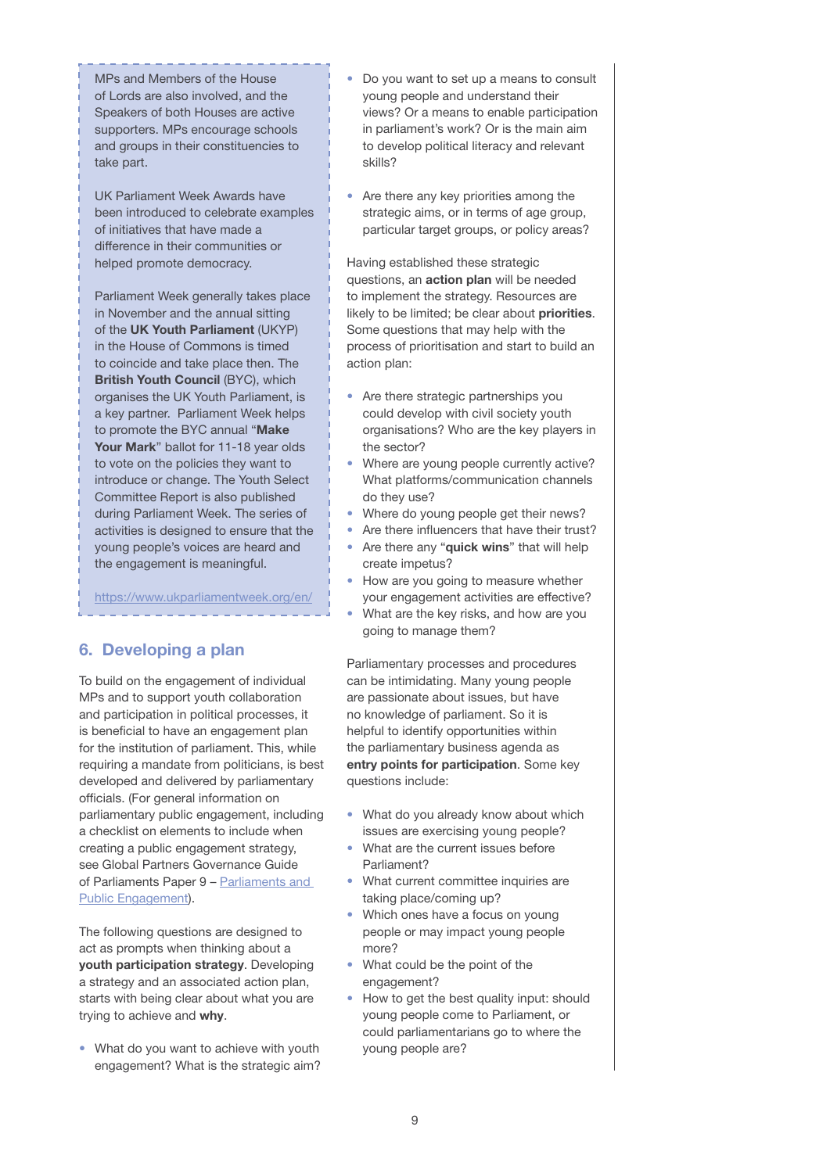<span id="page-8-0"></span>MPs and Members of the House of Lords are also involved, and the Speakers of both Houses are active supporters. MPs encourage schools and groups in their constituencies to take part.

UK Parliament Week Awards have been introduced to celebrate examples of initiatives that have made a difference in their communities or helped promote democracy.

Parliament Week generally takes place in November and the annual sitting of the UK Youth Parliament (UKYP) in the House of Commons is timed to coincide and take place then. The British Youth Council (BYC), which organises the UK Youth Parliament, is a key partner. Parliament Week helps to promote the BYC annual "Make Your Mark" ballot for 11-18 year olds to vote on the policies they want to introduce or change. The Youth Select Committee Report is also published during Parliament Week. The series of activities is designed to ensure that the young people's voices are heard and the engagement is meaningful.

<https://www.ukparliamentweek.org/en/>

# 6. Developing a plan

To build on the engagement of individual MPs and to support youth collaboration and participation in political processes, it is beneficial to have an engagement plan for the institution of parliament. This, while requiring a mandate from politicians, is best developed and delivered by parliamentary officials. (For general information on parliamentary public engagement, including a checklist on elements to include when creating a public engagement strategy, see Global Partners Governance Guide of Parliaments Paper 9 – [Parliaments and](https://www.gpgovernance.net/publication/paper-9-parliaments-and-public-engagement/)  [Public Engagement\).](https://www.gpgovernance.net/publication/paper-9-parliaments-and-public-engagement/) 

The following questions are designed to act as prompts when thinking about a youth participation strategy. Developing a strategy and an associated action plan, starts with being clear about what you are trying to achieve and why.

• What do you want to achieve with youth engagement? What is the strategic aim?

- Do you want to set up a means to consult young people and understand their views? Or a means to enable participation in parliament's work? Or is the main aim to develop political literacy and relevant skills?
- Are there any key priorities among the strategic aims, or in terms of age group, particular target groups, or policy areas?

Having established these strategic questions, an action plan will be needed to implement the strategy. Resources are likely to be limited; be clear about priorities. Some questions that may help with the process of prioritisation and start to build an action plan:

- Are there strategic partnerships you could develop with civil society youth organisations? Who are the key players in the sector?
- Where are young people currently active? What platforms/communication channels do they use?
- Where do young people get their news?
- Are there influencers that have their trust?
- Are there any "quick wins" that will help create impetus?
- How are you going to measure whether your engagement activities are effective?
- What are the key risks, and how are you going to manage them?

Parliamentary processes and procedures can be intimidating. Many young people are passionate about issues, but have no knowledge of parliament. So it is helpful to identify opportunities within the parliamentary business agenda as entry points for participation. Some key questions include:

- What do you already know about which issues are exercising young people?
- What are the current issues before Parliament?
- What current committee inquiries are taking place/coming up?
- Which ones have a focus on young people or may impact young people more?
- What could be the point of the engagement?
- How to get the best quality input: should young people come to Parliament, or could parliamentarians go to where the young people are?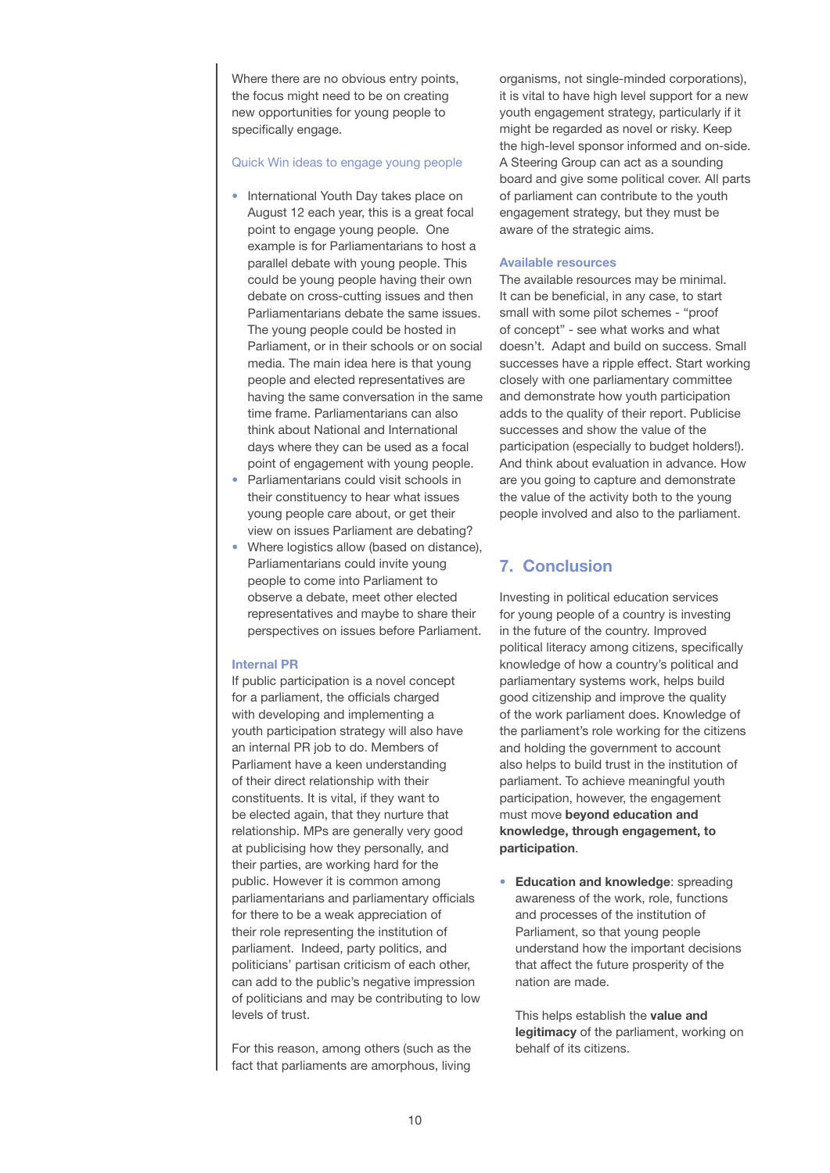<span id="page-9-0"></span>Where there are no obvious entry points, the focus might need to be on creating new opportunities for young people to specifically engage.

### Quick Win ideas to engage young people

- International Youth Day takes place on August 12 each year, this is a great focal point to engage young people. One example is for Parliamentarians to host a parallel debate with young people. This could be young people having their own debate on cross-cutting issues and then Parliamentarians debate the same issues. The young people could be hosted in Parliament, or in their schools or on social media. The main idea here is that young people and elected representatives are having the same conversation in the same time frame. Parliamentarians can also think about National and International days where they can be used as a focal point of engagement with young people.
- Parliamentarians could visit schools in their constituency to hear what issues young people care about, or get their view on issues Parliament are debating?
- Where logistics allow (based on distance), Parliamentarians could invite young people to come into Parliament to observe a debate, meet other elected representatives and maybe to share their perspectives on issues before Parliament.

### Internal PR

If public participation is a novel concept for a parliament, the officials charged with developing and implementing a youth participation strategy will also have an internal PR job to do. Members of Parliament have a keen understanding of their direct relationship with their constituents. It is vital, if they want to be elected again, that they nurture that relationship. MPs are generally very good at publicising how they personally, and their parties, are working hard for the public. However it is common among parliamentarians and parliamentary officials for there to be a weak appreciation of their role representing the institution of parliament. Indeed, party politics, and politicians' partisan criticism of each other, can add to the public's negative impression of politicians and may be contributing to low levels of trust.

For this reason, among others (such as the fact that parliaments are amorphous, living

organisms, not single-minded corporations), it is vital to have high level support for a new youth engagement strategy, particularly if it might be regarded as novel or risky. Keep the high-level sponsor informed and on-side. A Steering Group can act as a sounding board and give some political cover. All parts of parliament can contribute to the youth engagement strategy, but they must be aware of the strategic aims.

### Available resources

The available resources may be minimal. It can be beneficial, in any case, to start small with some pilot schemes - "proof of concept" - see what works and what doesn't. Adapt and build on success. Small successes have a ripple effect. Start working closely with one parliamentary committee and demonstrate how youth participation adds to the quality of their report. Publicise successes and show the value of the participation (especially to budget holders!). And think about evaluation in advance. How are you going to capture and demonstrate the value of the activity both to the young people involved and also to the parliament.

## 7. Conclusion

Investing in political education services for young people of a country is investing in the future of the country. Improved political literacy among citizens, specifically knowledge of how a country's political and parliamentary systems work, helps build good citizenship and improve the quality of the work parliament does. Knowledge of the parliament's role working for the citizens and holding the government to account also helps to build trust in the institution of parliament. To achieve meaningful youth participation, however, the engagement must move beyond education and knowledge, through engagement, to participation.

• Education and knowledge: spreading awareness of the work, role, functions and processes of the institution of Parliament, so that young people understand how the important decisions that affect the future prosperity of the nation are made.

This helps establish the **value and** legitimacy of the parliament, working on behalf of its citizens.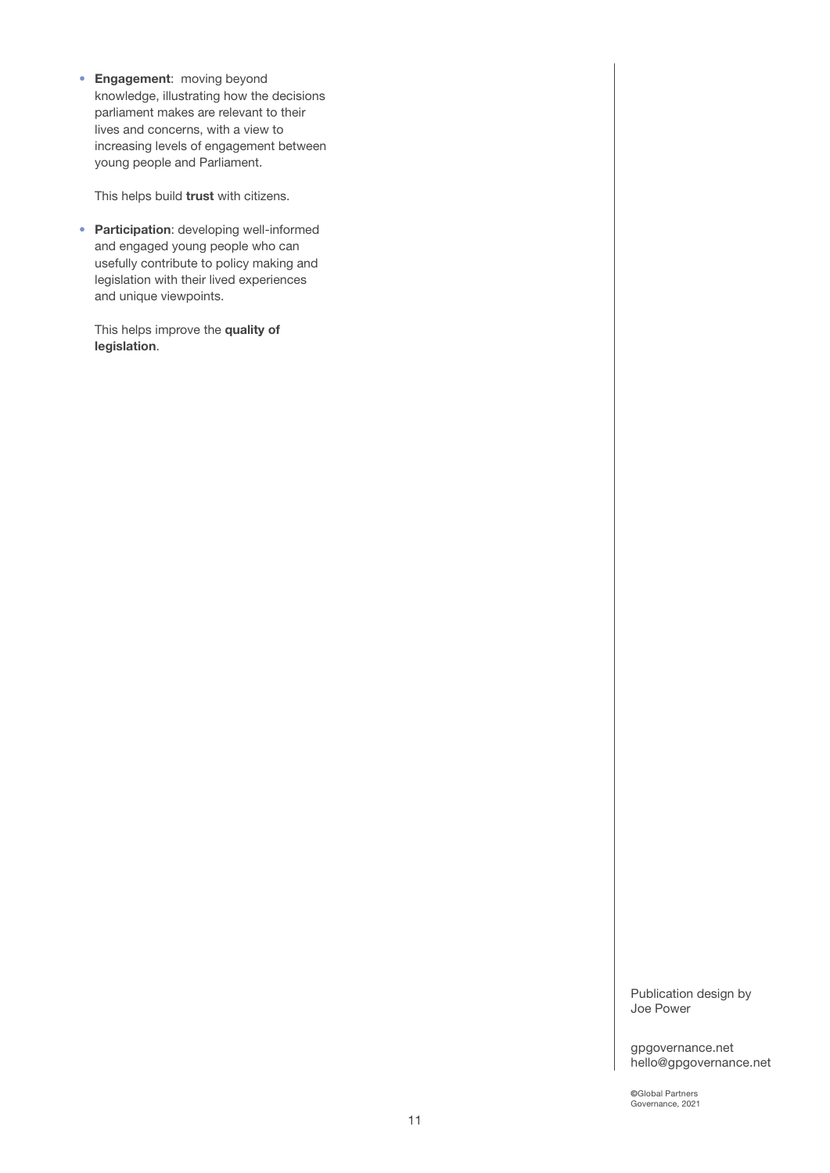• Engagement: moving beyond knowledge, illustrating how the decisions parliament makes are relevant to their lives and concerns, with a view to increasing levels of engagement between young people and Parliament.

This helps build trust with citizens.

• Participation: developing well-informed and engaged young people who can usefully contribute to policy making and legislation with their lived experiences and unique viewpoints.

This helps improve the quality of legislation.

> Publication design by Joe Power

gpgovernance.net hello@gpgovernance.net

©Global Partners Governance, 2021